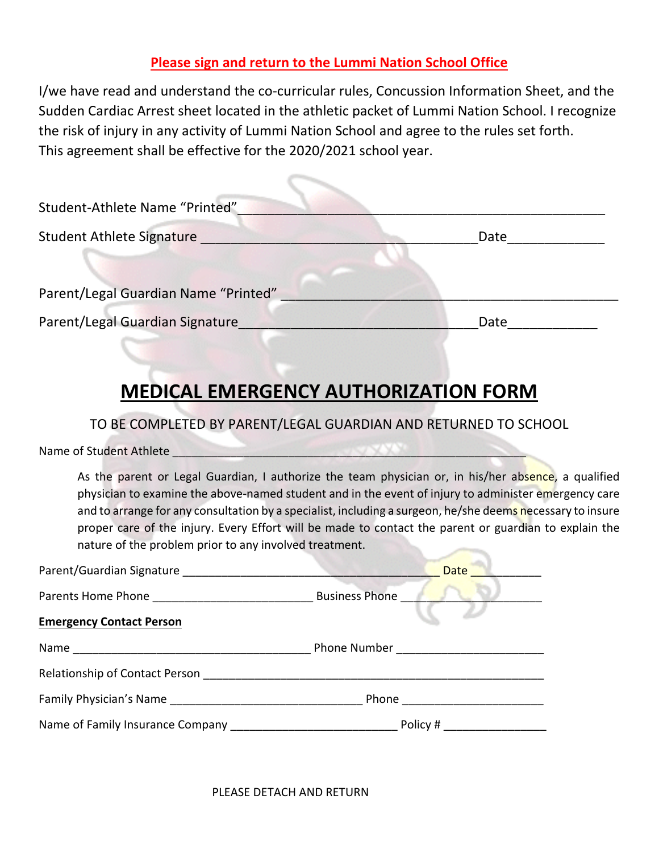## **Please sign and return to the Lummi Nation School Office**

I/we have read and understand the co-curricular rules, Concussion Information Sheet, and the Sudden Cardiac Arrest sheet located in the athletic packet of Lummi Nation School. I recognize the risk of injury in any activity of Lummi Nation School and agree to the rules set forth. This agreement shall be effective for the 2020/2021 school year.

| Student-Athlete Name "Printed"       |      |
|--------------------------------------|------|
| <b>Student Athlete Signature</b>     | Date |
| Parent/Legal Guardian Name "Printed" |      |
| Parent/Legal Guardian Signature      | Date |

## **MEDICAL EMERGENCY AUTHORIZATION FORM**

TO BE COMPLETED BY PARENT/LEGAL GUARDIAN AND RETURNED TO SCHOOL

Name of Student Athlete \_\_\_\_\_\_\_\_\_\_\_\_\_\_\_\_\_\_\_\_\_\_\_\_\_\_\_\_\_\_\_\_\_\_\_\_\_\_\_\_\_\_\_\_\_\_\_\_\_\_\_\_\_\_\_

As the parent or Legal Guardian, I authorize the team physician or, in his/her absence, a qualified physician to examine the above-named student and in the event of injury to administer emergency care and to arrange for any consultation by a specialist, including a surgeon, he/she deems necessary to insure proper care of the injury. Every Effort will be made to contact the parent or guardian to explain the nature of the problem prior to any involved treatment.

| Parent/Guardian Signature        | <b>Date</b>              |
|----------------------------------|--------------------------|
|                                  | <b>Business Phone</b>    |
| <b>Emergency Contact Person</b>  |                          |
|                                  |                          |
| Relationship of Contact Person   |                          |
|                                  | Phone <u>___________</u> |
| Name of Family Insurance Company | Policy #                 |

PLEASE DETACH AND RETURN